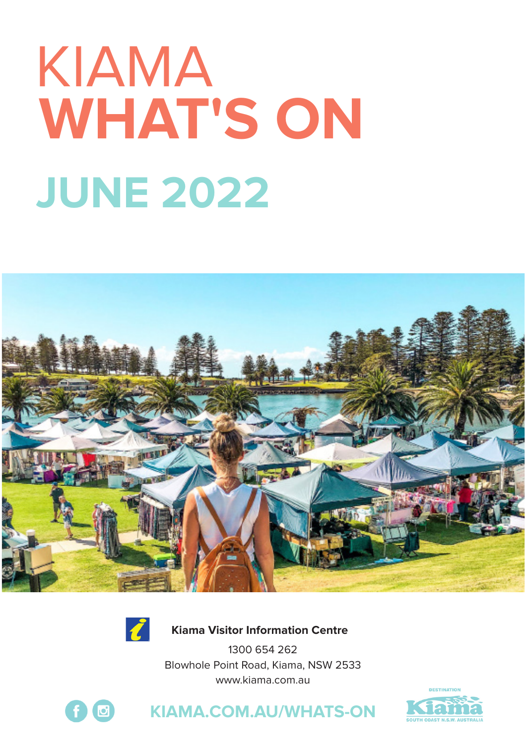# **WHAT'S ON JUNE 2022** KIAMA





 **Kiama Visitor Information Centre**

1300 654 262 Blowhole Point Road, Kiama, NSW 2533 www.kiama.com.au





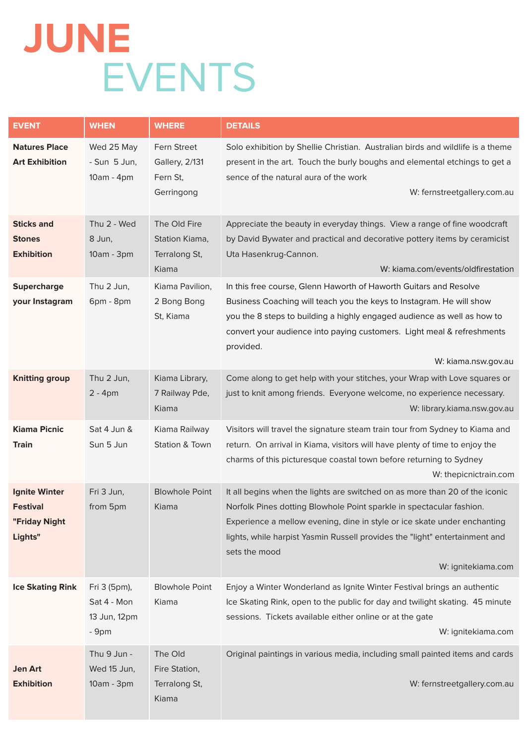# **JUNE** EVENTS

| <b>EVENT</b>                                                 | <b>WHEN</b>                                          | <b>WHERE</b>                                                   | <b>DETAILS</b>                                                                                                                                                                                                                                                                                                                                        |
|--------------------------------------------------------------|------------------------------------------------------|----------------------------------------------------------------|-------------------------------------------------------------------------------------------------------------------------------------------------------------------------------------------------------------------------------------------------------------------------------------------------------------------------------------------------------|
| <b>Natures Place</b><br><b>Art Exhibition</b>                | Wed 25 May<br>- Sun 5 Jun,<br>10am - 4pm             | Fern Street<br><b>Gallery, 2/131</b><br>Fern St.<br>Gerringong | Solo exhibition by Shellie Christian. Australian birds and wildlife is a theme<br>present in the art. Touch the burly boughs and elemental etchings to get a<br>sence of the natural aura of the work<br>W: fernstreetgallery.com.au                                                                                                                  |
| <b>Sticks and</b><br><b>Stones</b><br><b>Exhibition</b>      | Thu 2 - Wed<br>8 Jun,<br>10am - 3pm                  | The Old Fire<br>Station Kiama,<br>Terralong St,<br>Kiama       | Appreciate the beauty in everyday things. View a range of fine woodcraft<br>by David Bywater and practical and decorative pottery items by ceramicist<br>Uta Hasenkrug-Cannon.<br>W: kiama.com/events/oldfirestation                                                                                                                                  |
| <b>Supercharge</b><br>your Instagram                         | Thu 2 Jun,<br>6pm - 8pm                              | Kiama Pavilion,<br>2 Bong Bong<br>St, Kiama                    | In this free course, Glenn Haworth of Haworth Guitars and Resolve<br>Business Coaching will teach you the keys to Instagram. He will show<br>you the 8 steps to building a highly engaged audience as well as how to<br>convert your audience into paying customers. Light meal & refreshments<br>provided.<br>W: kiama.nsw.gov.au                    |
| Knitting group                                               | Thu 2 Jun,<br>$2 - 4pm$                              | Kiama Library,<br>7 Railway Pde,<br>Kiama                      | Come along to get help with your stitches, your Wrap with Love squares or<br>just to knit among friends. Everyone welcome, no experience necessary.<br>W: library.kiama.nsw.gov.au                                                                                                                                                                    |
| <b>Kiama Picnic</b><br><b>Train</b>                          | Sat 4 Jun &<br>Sun 5 Jun                             | Kiama Railway<br>Station & Town                                | Visitors will travel the signature steam train tour from Sydney to Kiama and<br>return. On arrival in Kiama, visitors will have plenty of time to enjoy the<br>charms of this picturesque coastal town before returning to Sydney<br>W: thepicnictrain.com                                                                                            |
| <b>Ignite Winter</b><br>Festival<br>"Friday Night<br>Lights" | Fri 3 Jun,<br>from 5pm                               | <b>Blowhole Point</b><br>Kiama                                 | It all begins when the lights are switched on as more than 20 of the iconic<br>Norfolk Pines dotting Blowhole Point sparkle in spectacular fashion.<br>Experience a mellow evening, dine in style or ice skate under enchanting<br>lights, while harpist Yasmin Russell provides the "light" entertainment and<br>sets the mood<br>W: ignitekiama.com |
| <b>Ice Skating Rink</b>                                      | Fri 3 (5pm),<br>Sat 4 - Mon<br>13 Jun, 12pm<br>- 9pm | <b>Blowhole Point</b><br>Kiama                                 | Enjoy a Winter Wonderland as Ignite Winter Festival brings an authentic<br>Ice Skating Rink, open to the public for day and twilight skating. 45 minute<br>sessions. Tickets available either online or at the gate<br>W: ignitekiama.com                                                                                                             |
| Jen Art<br><b>Exhibition</b>                                 | Thu 9 Jun -<br>Wed 15 Jun,<br>10am - 3pm             | The Old<br>Fire Station,<br>Terralong St,<br>Kiama             | Original paintings in various media, including small painted items and cards<br>W: fernstreetgallery.com.au                                                                                                                                                                                                                                           |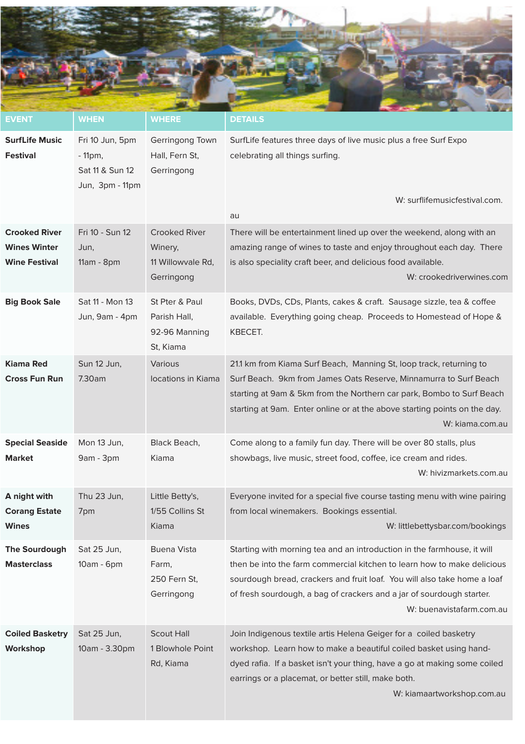

| <b>EVENT</b>                                                        | <b>WHEN</b>                                                        | <b>WHERE</b>                                                       | <b>DETAILS</b>                                                                                                                                                                                                                                                                                                                      |
|---------------------------------------------------------------------|--------------------------------------------------------------------|--------------------------------------------------------------------|-------------------------------------------------------------------------------------------------------------------------------------------------------------------------------------------------------------------------------------------------------------------------------------------------------------------------------------|
| SurfLife Music<br>Festival                                          | Fri 10 Jun, 5pm<br>$-11$ pm,<br>Sat 11 & Sun 12<br>Jun, 3pm - 11pm | Gerringong Town<br>Hall, Fern St,<br>Gerringong                    | SurfLife features three days of live music plus a free Surf Expo<br>celebrating all things surfing.<br>W: surflifemusicfestival.com.<br>au                                                                                                                                                                                          |
| <b>Crooked River</b><br><b>Wines Winter</b><br><b>Wine Festival</b> | Fri 10 - Sun 12<br>Jun,<br>11am - 8pm                              | <b>Crooked River</b><br>Winery,<br>11 Willowvale Rd,<br>Gerringong | There will be entertainment lined up over the weekend, along with an<br>amazing range of wines to taste and enjoy throughout each day. There<br>is also speciality craft beer, and delicious food available.<br>W: crookedriverwines.com                                                                                            |
| <b>Big Book Sale</b>                                                | Sat 11 - Mon 13<br>Jun, 9am - 4pm                                  | St Pter & Paul<br>Parish Hall,<br>92-96 Manning<br>St, Kiama       | Books, DVDs, CDs, Plants, cakes & craft. Sausage sizzle, tea & coffee<br>available. Everything going cheap. Proceeds to Homestead of Hope &<br>KBECET.                                                                                                                                                                              |
| Kiama Red<br><b>Cross Fun Run</b>                                   | Sun 12 Jun,<br>7.30am                                              | Various<br>locations in Kiama                                      | 21.1 km from Kiama Surf Beach, Manning St, loop track, returning to<br>Surf Beach. 9km from James Oats Reserve, Minnamurra to Surf Beach<br>starting at 9am & 5km from the Northern car park, Bombo to Surf Beach<br>starting at 9am. Enter online or at the above starting points on the day.<br>W: kiama.com.au                   |
| <b>Special Seaside</b><br><b>Market</b>                             | Mon 13 Jun,<br>9am - 3pm                                           | Black Beach,<br>Kiama                                              | Come along to a family fun day. There will be over 80 stalls, plus<br>showbags, live music, street food, coffee, ice cream and rides.<br>W: hivizmarkets.com.au                                                                                                                                                                     |
| A night with<br><b>Corang Estate</b><br>Wines                       | Thu 23 Jun,<br>7pm                                                 | Little Betty's,<br>1/55 Collins St<br>Kiama                        | Everyone invited for a special five course tasting menu with wine pairing<br>from local winemakers. Bookings essential.<br>W: littlebettysbar.com/bookings                                                                                                                                                                          |
| The Sourdough<br><b>Masterclass</b>                                 | Sat 25 Jun,<br>10am - 6pm                                          | <b>Buena Vista</b><br>Farm,<br>250 Fern St,<br>Gerringong          | Starting with morning tea and an introduction in the farmhouse, it will<br>then be into the farm commercial kitchen to learn how to make delicious<br>sourdough bread, crackers and fruit loaf. You will also take home a loaf<br>of fresh sourdough, a bag of crackers and a jar of sourdough starter.<br>W: buenavistafarm.com.au |
| <b>Coiled Basketry</b><br>Workshop                                  | Sat 25 Jun,<br>10am - 3.30pm                                       | <b>Scout Hall</b><br>1 Blowhole Point<br>Rd, Kiama                 | Join Indigenous textile artis Helena Geiger for a coiled basketry<br>workshop. Learn how to make a beautiful coiled basket using hand-<br>dyed rafia. If a basket isn't your thing, have a go at making some coiled<br>earrings or a placemat, or better still, make both.<br>W: kiamaartworkshop.com.au                            |